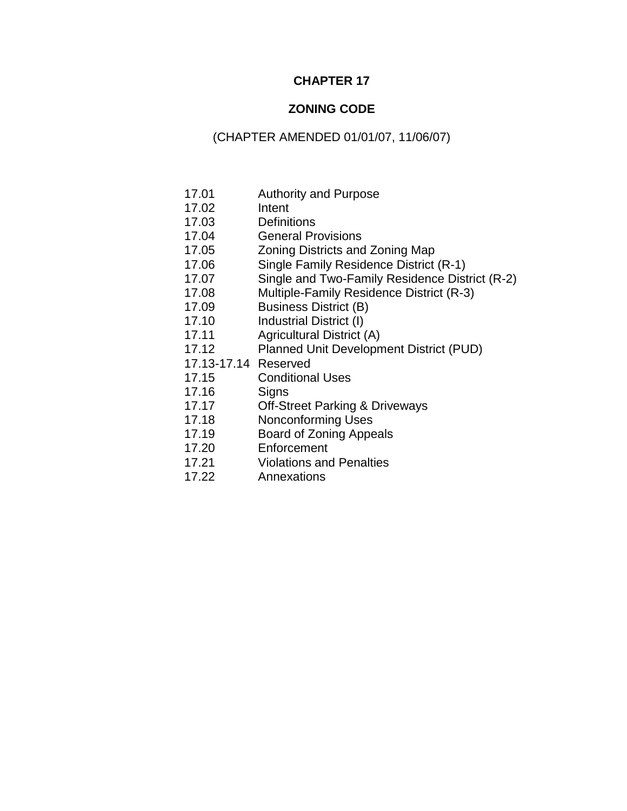# **CHAPTER 17**

# **ZONING CODE**

# (CHAPTER AMENDED 01/01/07, 11/06/07)

- 17.01 Authority and Purpose
- 17.02 Intent
- 17.03 Definitions
- 17.04 General Provisions
- 17.05 Zoning Districts and Zoning Map
- 17.06 Single Family Residence District (R-1)
- 17.07 Single and Two-Family Residence District (R-2)
- 17.08 Multiple-Family Residence District (R-3)
- 17.09 Business District (B)
- 17.10 Industrial District (I)
- 17.11 Agricultural District (A)
- 17.12 Planned Unit Development District (PUD)
- 17.13-17.14 Reserved
- 17.15 Conditional Uses
- 17.16 Signs
- 17.17 Off-Street Parking & Driveways
- 17.18 Nonconforming Uses
- 17.19 Board of Zoning Appeals
- 17.20 Enforcement
- 17.21 Violations and Penalties
- 17.22 Annexations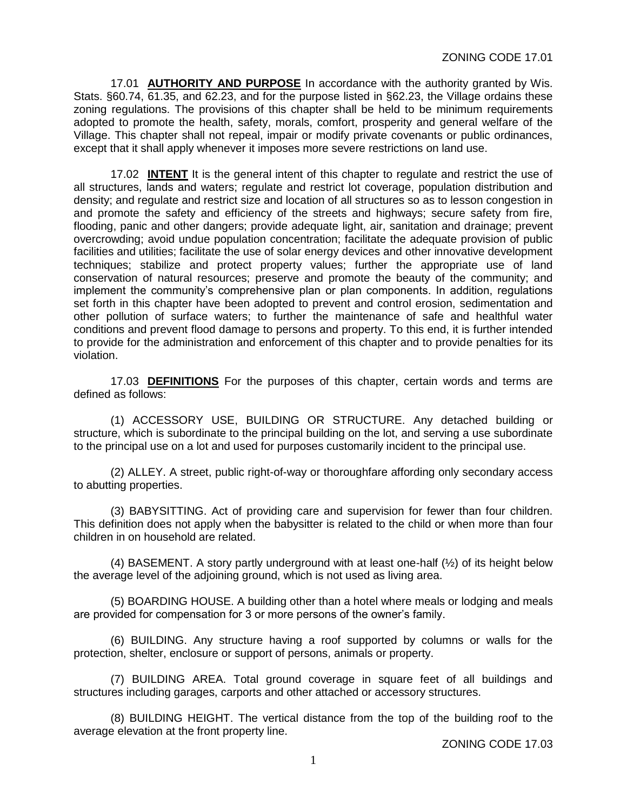17.01 **AUTHORITY AND PURPOSE** In accordance with the authority granted by Wis. Stats. §60.74, 61.35, and 62.23, and for the purpose listed in §62.23, the Village ordains these zoning regulations. The provisions of this chapter shall be held to be minimum requirements adopted to promote the health, safety, morals, comfort, prosperity and general welfare of the Village. This chapter shall not repeal, impair or modify private covenants or public ordinances, except that it shall apply whenever it imposes more severe restrictions on land use.

17.02 **INTENT** It is the general intent of this chapter to regulate and restrict the use of all structures, lands and waters; regulate and restrict lot coverage, population distribution and density; and regulate and restrict size and location of all structures so as to lesson congestion in and promote the safety and efficiency of the streets and highways; secure safety from fire, flooding, panic and other dangers; provide adequate light, air, sanitation and drainage; prevent overcrowding; avoid undue population concentration; facilitate the adequate provision of public facilities and utilities; facilitate the use of solar energy devices and other innovative development techniques; stabilize and protect property values; further the appropriate use of land conservation of natural resources; preserve and promote the beauty of the community; and implement the community's comprehensive plan or plan components. In addition, regulations set forth in this chapter have been adopted to prevent and control erosion, sedimentation and other pollution of surface waters; to further the maintenance of safe and healthful water conditions and prevent flood damage to persons and property. To this end, it is further intended to provide for the administration and enforcement of this chapter and to provide penalties for its violation.

17.03 **DEFINITIONS** For the purposes of this chapter, certain words and terms are defined as follows:

(1) ACCESSORY USE, BUILDING OR STRUCTURE. Any detached building or structure, which is subordinate to the principal building on the lot, and serving a use subordinate to the principal use on a lot and used for purposes customarily incident to the principal use.

(2) ALLEY. A street, public right-of-way or thoroughfare affording only secondary access to abutting properties.

(3) BABYSITTING. Act of providing care and supervision for fewer than four children. This definition does not apply when the babysitter is related to the child or when more than four children in on household are related.

(4) BASEMENT. A story partly underground with at least one-half (½) of its height below the average level of the adjoining ground, which is not used as living area.

(5) BOARDING HOUSE. A building other than a hotel where meals or lodging and meals are provided for compensation for 3 or more persons of the owner's family.

(6) BUILDING. Any structure having a roof supported by columns or walls for the protection, shelter, enclosure or support of persons, animals or property.

(7) BUILDING AREA. Total ground coverage in square feet of all buildings and structures including garages, carports and other attached or accessory structures.

(8) BUILDING HEIGHT. The vertical distance from the top of the building roof to the average elevation at the front property line.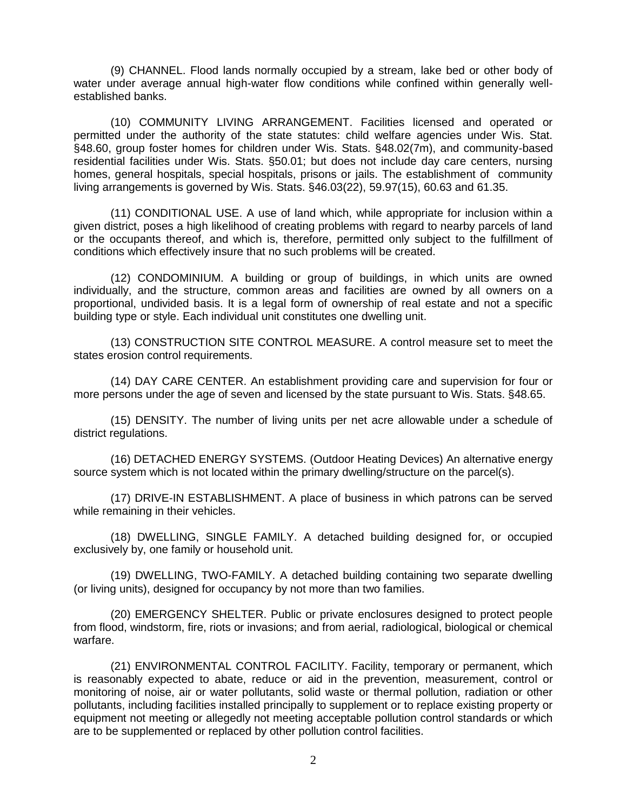(9) CHANNEL. Flood lands normally occupied by a stream, lake bed or other body of water under average annual high-water flow conditions while confined within generally wellestablished banks.

(10) COMMUNITY LIVING ARRANGEMENT. Facilities licensed and operated or permitted under the authority of the state statutes: child welfare agencies under Wis. Stat. §48.60, group foster homes for children under Wis. Stats. §48.02(7m), and community-based residential facilities under Wis. Stats. §50.01; but does not include day care centers, nursing homes, general hospitals, special hospitals, prisons or jails. The establishment of community living arrangements is governed by Wis. Stats. §46.03(22), 59.97(15), 60.63 and 61.35.

(11) CONDITIONAL USE. A use of land which, while appropriate for inclusion within a given district, poses a high likelihood of creating problems with regard to nearby parcels of land or the occupants thereof, and which is, therefore, permitted only subject to the fulfillment of conditions which effectively insure that no such problems will be created.

(12) CONDOMINIUM. A building or group of buildings, in which units are owned individually, and the structure, common areas and facilities are owned by all owners on a proportional, undivided basis. It is a legal form of ownership of real estate and not a specific building type or style. Each individual unit constitutes one dwelling unit.

(13) CONSTRUCTION SITE CONTROL MEASURE. A control measure set to meet the states erosion control requirements.

(14) DAY CARE CENTER. An establishment providing care and supervision for four or more persons under the age of seven and licensed by the state pursuant to Wis. Stats. §48.65.

(15) DENSITY. The number of living units per net acre allowable under a schedule of district regulations.

(16) DETACHED ENERGY SYSTEMS. (Outdoor Heating Devices) An alternative energy source system which is not located within the primary dwelling/structure on the parcel(s).

(17) DRIVE-IN ESTABLISHMENT. A place of business in which patrons can be served while remaining in their vehicles.

(18) DWELLING, SINGLE FAMILY. A detached building designed for, or occupied exclusively by, one family or household unit.

(19) DWELLING, TWO-FAMILY. A detached building containing two separate dwelling (or living units), designed for occupancy by not more than two families.

(20) EMERGENCY SHELTER. Public or private enclosures designed to protect people from flood, windstorm, fire, riots or invasions; and from aerial, radiological, biological or chemical warfare.

(21) ENVIRONMENTAL CONTROL FACILITY. Facility, temporary or permanent, which is reasonably expected to abate, reduce or aid in the prevention, measurement, control or monitoring of noise, air or water pollutants, solid waste or thermal pollution, radiation or other pollutants, including facilities installed principally to supplement or to replace existing property or equipment not meeting or allegedly not meeting acceptable pollution control standards or which are to be supplemented or replaced by other pollution control facilities.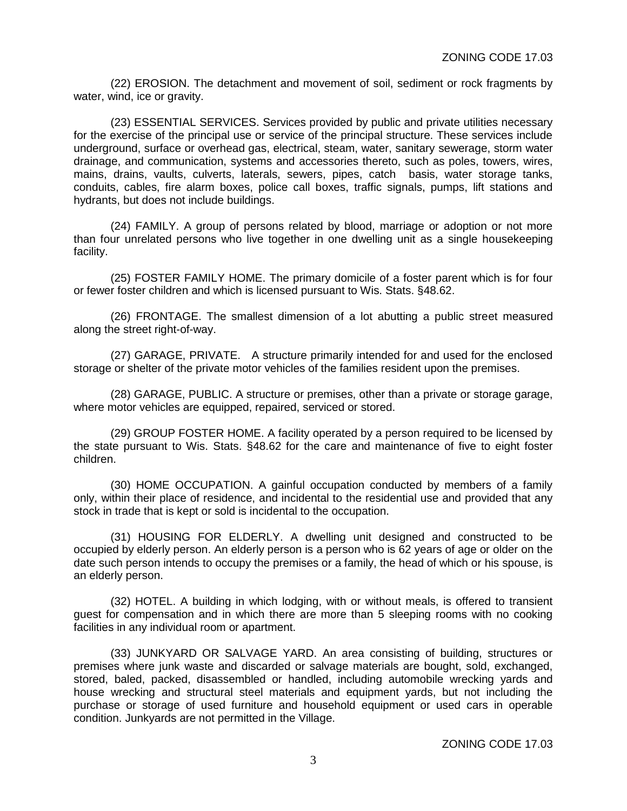(22) EROSION. The detachment and movement of soil, sediment or rock fragments by water, wind, ice or gravity.

(23) ESSENTIAL SERVICES. Services provided by public and private utilities necessary for the exercise of the principal use or service of the principal structure. These services include underground, surface or overhead gas, electrical, steam, water, sanitary sewerage, storm water drainage, and communication, systems and accessories thereto, such as poles, towers, wires, mains, drains, vaults, culverts, laterals, sewers, pipes, catch basis, water storage tanks, conduits, cables, fire alarm boxes, police call boxes, traffic signals, pumps, lift stations and hydrants, but does not include buildings.

(24) FAMILY. A group of persons related by blood, marriage or adoption or not more than four unrelated persons who live together in one dwelling unit as a single housekeeping facility.

(25) FOSTER FAMILY HOME. The primary domicile of a foster parent which is for four or fewer foster children and which is licensed pursuant to Wis. Stats. §48.62.

(26) FRONTAGE. The smallest dimension of a lot abutting a public street measured along the street right-of-way.

(27) GARAGE, PRIVATE. A structure primarily intended for and used for the enclosed storage or shelter of the private motor vehicles of the families resident upon the premises.

(28) GARAGE, PUBLIC. A structure or premises, other than a private or storage garage, where motor vehicles are equipped, repaired, serviced or stored.

(29) GROUP FOSTER HOME. A facility operated by a person required to be licensed by the state pursuant to Wis. Stats. §48.62 for the care and maintenance of five to eight foster children.

(30) HOME OCCUPATION. A gainful occupation conducted by members of a family only, within their place of residence, and incidental to the residential use and provided that any stock in trade that is kept or sold is incidental to the occupation.

(31) HOUSING FOR ELDERLY. A dwelling unit designed and constructed to be occupied by elderly person. An elderly person is a person who is 62 years of age or older on the date such person intends to occupy the premises or a family, the head of which or his spouse, is an elderly person.

(32) HOTEL. A building in which lodging, with or without meals, is offered to transient guest for compensation and in which there are more than 5 sleeping rooms with no cooking facilities in any individual room or apartment.

(33) JUNKYARD OR SALVAGE YARD. An area consisting of building, structures or premises where junk waste and discarded or salvage materials are bought, sold, exchanged, stored, baled, packed, disassembled or handled, including automobile wrecking yards and house wrecking and structural steel materials and equipment yards, but not including the purchase or storage of used furniture and household equipment or used cars in operable condition. Junkyards are not permitted in the Village.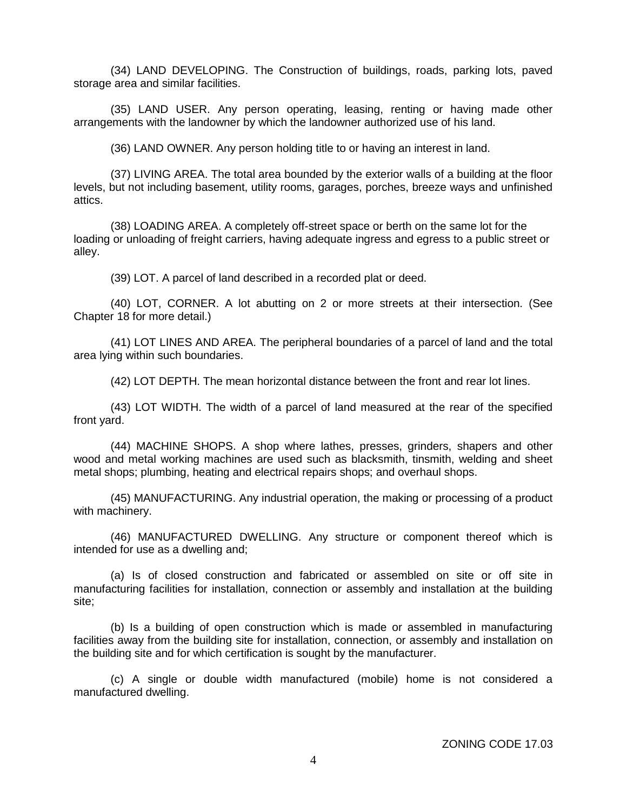(34) LAND DEVELOPING. The Construction of buildings, roads, parking lots, paved storage area and similar facilities.

(35) LAND USER. Any person operating, leasing, renting or having made other arrangements with the landowner by which the landowner authorized use of his land.

(36) LAND OWNER. Any person holding title to or having an interest in land.

(37) LIVING AREA. The total area bounded by the exterior walls of a building at the floor levels, but not including basement, utility rooms, garages, porches, breeze ways and unfinished attics.

(38) LOADING AREA. A completely off-street space or berth on the same lot for the loading or unloading of freight carriers, having adequate ingress and egress to a public street or alley.

(39) LOT. A parcel of land described in a recorded plat or deed.

(40) LOT, CORNER. A lot abutting on 2 or more streets at their intersection. (See Chapter 18 for more detail.)

(41) LOT LINES AND AREA. The peripheral boundaries of a parcel of land and the total area lying within such boundaries.

(42) LOT DEPTH. The mean horizontal distance between the front and rear lot lines.

(43) LOT WIDTH. The width of a parcel of land measured at the rear of the specified front yard.

(44) MACHINE SHOPS. A shop where lathes, presses, grinders, shapers and other wood and metal working machines are used such as blacksmith, tinsmith, welding and sheet metal shops; plumbing, heating and electrical repairs shops; and overhaul shops.

(45) MANUFACTURING. Any industrial operation, the making or processing of a product with machinery.

(46) MANUFACTURED DWELLING. Any structure or component thereof which is intended for use as a dwelling and;

(a) Is of closed construction and fabricated or assembled on site or off site in manufacturing facilities for installation, connection or assembly and installation at the building site;

(b) Is a building of open construction which is made or assembled in manufacturing facilities away from the building site for installation, connection, or assembly and installation on the building site and for which certification is sought by the manufacturer.

(c) A single or double width manufactured (mobile) home is not considered a manufactured dwelling.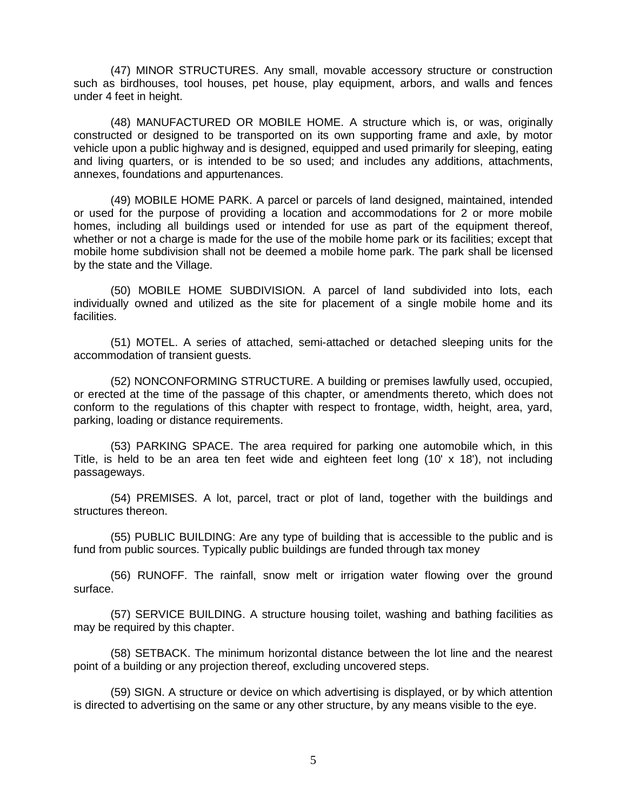(47) MINOR STRUCTURES. Any small, movable accessory structure or construction such as birdhouses, tool houses, pet house, play equipment, arbors, and walls and fences under 4 feet in height.

(48) MANUFACTURED OR MOBILE HOME. A structure which is, or was, originally constructed or designed to be transported on its own supporting frame and axle, by motor vehicle upon a public highway and is designed, equipped and used primarily for sleeping, eating and living quarters, or is intended to be so used; and includes any additions, attachments, annexes, foundations and appurtenances.

(49) MOBILE HOME PARK. A parcel or parcels of land designed, maintained, intended or used for the purpose of providing a location and accommodations for 2 or more mobile homes, including all buildings used or intended for use as part of the equipment thereof, whether or not a charge is made for the use of the mobile home park or its facilities; except that mobile home subdivision shall not be deemed a mobile home park. The park shall be licensed by the state and the Village.

(50) MOBILE HOME SUBDIVISION. A parcel of land subdivided into lots, each individually owned and utilized as the site for placement of a single mobile home and its facilities.

(51) MOTEL. A series of attached, semi-attached or detached sleeping units for the accommodation of transient guests.

(52) NONCONFORMING STRUCTURE. A building or premises lawfully used, occupied, or erected at the time of the passage of this chapter, or amendments thereto, which does not conform to the regulations of this chapter with respect to frontage, width, height, area, yard, parking, loading or distance requirements.

(53) PARKING SPACE. The area required for parking one automobile which, in this Title, is held to be an area ten feet wide and eighteen feet long (10' x 18'), not including passageways.

(54) PREMISES. A lot, parcel, tract or plot of land, together with the buildings and structures thereon.

(55) PUBLIC BUILDING: Are any type of building that is accessible to the public and is fund from public sources. Typically public buildings are funded through tax money

(56) RUNOFF. The rainfall, snow melt or irrigation water flowing over the ground surface.

(57) SERVICE BUILDING. A structure housing toilet, washing and bathing facilities as may be required by this chapter.

(58) SETBACK. The minimum horizontal distance between the lot line and the nearest point of a building or any projection thereof, excluding uncovered steps.

(59) SIGN. A structure or device on which advertising is displayed, or by which attention is directed to advertising on the same or any other structure, by any means visible to the eye.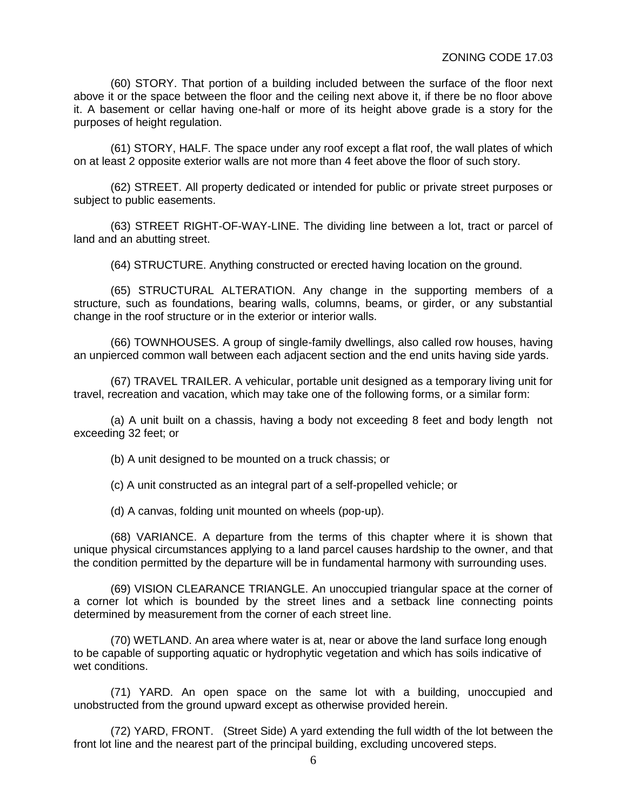(60) STORY. That portion of a building included between the surface of the floor next above it or the space between the floor and the ceiling next above it, if there be no floor above it. A basement or cellar having one-half or more of its height above grade is a story for the purposes of height regulation.

(61) STORY, HALF. The space under any roof except a flat roof, the wall plates of which on at least 2 opposite exterior walls are not more than 4 feet above the floor of such story.

(62) STREET. All property dedicated or intended for public or private street purposes or subject to public easements.

(63) STREET RIGHT-OF-WAY-LINE. The dividing line between a lot, tract or parcel of land and an abutting street.

(64) STRUCTURE. Anything constructed or erected having location on the ground.

(65) STRUCTURAL ALTERATION. Any change in the supporting members of a structure, such as foundations, bearing walls, columns, beams, or girder, or any substantial change in the roof structure or in the exterior or interior walls.

(66) TOWNHOUSES. A group of single-family dwellings, also called row houses, having an unpierced common wall between each adjacent section and the end units having side yards.

(67) TRAVEL TRAILER. A vehicular, portable unit designed as a temporary living unit for travel, recreation and vacation, which may take one of the following forms, or a similar form:

(a) A unit built on a chassis, having a body not exceeding 8 feet and body length not exceeding 32 feet; or

(b) A unit designed to be mounted on a truck chassis; or

(c) A unit constructed as an integral part of a self-propelled vehicle; or

(d) A canvas, folding unit mounted on wheels (pop-up).

(68) VARIANCE. A departure from the terms of this chapter where it is shown that unique physical circumstances applying to a land parcel causes hardship to the owner, and that the condition permitted by the departure will be in fundamental harmony with surrounding uses.

(69) VISION CLEARANCE TRIANGLE. An unoccupied triangular space at the corner of a corner lot which is bounded by the street lines and a setback line connecting points determined by measurement from the corner of each street line.

(70) WETLAND. An area where water is at, near or above the land surface long enough to be capable of supporting aquatic or hydrophytic vegetation and which has soils indicative of wet conditions.

(71) YARD. An open space on the same lot with a building, unoccupied and unobstructed from the ground upward except as otherwise provided herein.

(72) YARD, FRONT. (Street Side) A yard extending the full width of the lot between the front lot line and the nearest part of the principal building, excluding uncovered steps.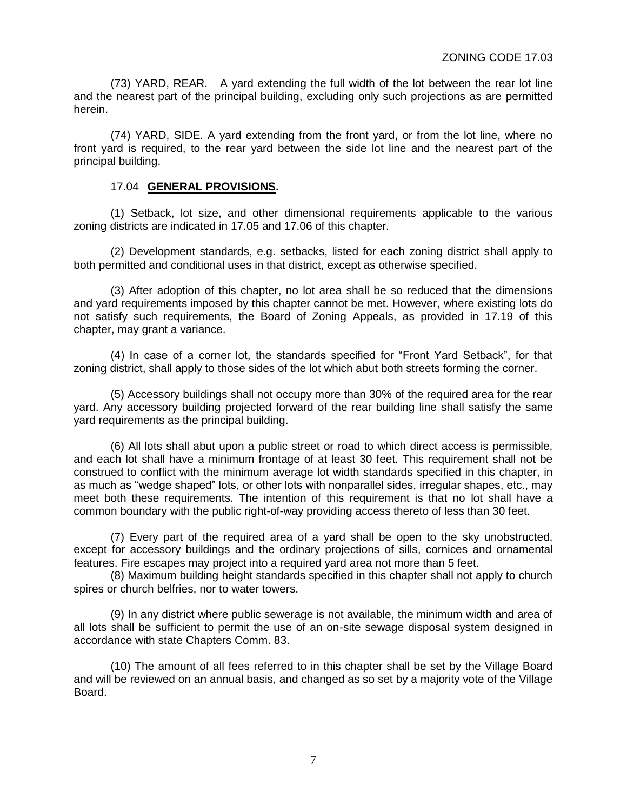(73) YARD, REAR. A yard extending the full width of the lot between the rear lot line and the nearest part of the principal building, excluding only such projections as are permitted herein.

(74) YARD, SIDE. A yard extending from the front yard, or from the lot line, where no front yard is required, to the rear yard between the side lot line and the nearest part of the principal building.

## 17.04 **GENERAL PROVISIONS.**

(1) Setback, lot size, and other dimensional requirements applicable to the various zoning districts are indicated in 17.05 and 17.06 of this chapter.

(2) Development standards, e.g. setbacks, listed for each zoning district shall apply to both permitted and conditional uses in that district, except as otherwise specified.

(3) After adoption of this chapter, no lot area shall be so reduced that the dimensions and yard requirements imposed by this chapter cannot be met. However, where existing lots do not satisfy such requirements, the Board of Zoning Appeals, as provided in 17.19 of this chapter, may grant a variance.

(4) In case of a corner lot, the standards specified for "Front Yard Setback", for that zoning district, shall apply to those sides of the lot which abut both streets forming the corner.

(5) Accessory buildings shall not occupy more than 30% of the required area for the rear yard. Any accessory building projected forward of the rear building line shall satisfy the same yard requirements as the principal building.

(6) All lots shall abut upon a public street or road to which direct access is permissible, and each lot shall have a minimum frontage of at least 30 feet. This requirement shall not be construed to conflict with the minimum average lot width standards specified in this chapter, in as much as "wedge shaped" lots, or other lots with nonparallel sides, irregular shapes, etc., may meet both these requirements. The intention of this requirement is that no lot shall have a common boundary with the public right-of-way providing access thereto of less than 30 feet.

(7) Every part of the required area of a yard shall be open to the sky unobstructed, except for accessory buildings and the ordinary projections of sills, cornices and ornamental features. Fire escapes may project into a required yard area not more than 5 feet.

(8) Maximum building height standards specified in this chapter shall not apply to church spires or church belfries, nor to water towers.

(9) In any district where public sewerage is not available, the minimum width and area of all lots shall be sufficient to permit the use of an on-site sewage disposal system designed in accordance with state Chapters Comm. 83.

(10) The amount of all fees referred to in this chapter shall be set by the Village Board and will be reviewed on an annual basis, and changed as so set by a majority vote of the Village Board.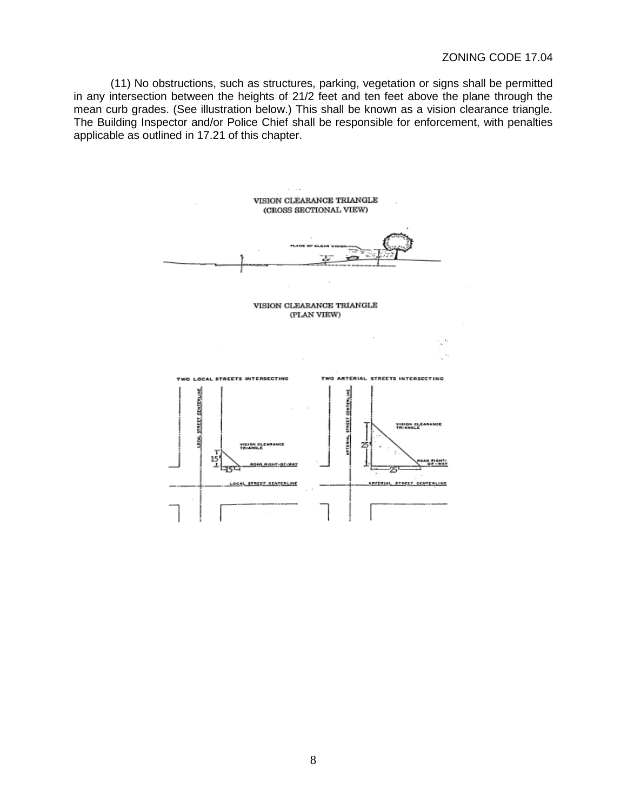(11) No obstructions, such as structures, parking, vegetation or signs shall be permitted in any intersection between the heights of 21/2 feet and ten feet above the plane through the mean curb grades. (See illustration below.) This shall be known as a vision clearance triangle. The Building Inspector and/or Police Chief shall be responsible for enforcement, with penalties applicable as outlined in 17.21 of this chapter.

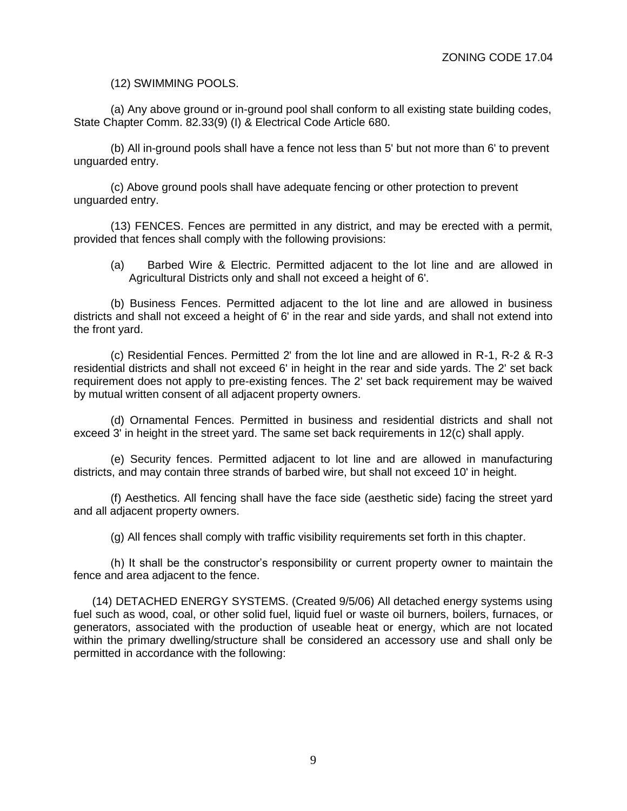(12) SWIMMING POOLS.

(a) Any above ground or in-ground pool shall conform to all existing state building codes, State Chapter Comm. 82.33(9) (I) & Electrical Code Article 680.

(b) All in-ground pools shall have a fence not less than 5' but not more than 6' to prevent unguarded entry.

(c) Above ground pools shall have adequate fencing or other protection to prevent unguarded entry.

(13) FENCES. Fences are permitted in any district, and may be erected with a permit, provided that fences shall comply with the following provisions:

(a) Barbed Wire & Electric. Permitted adjacent to the lot line and are allowed in Agricultural Districts only and shall not exceed a height of 6'.

(b) Business Fences. Permitted adjacent to the lot line and are allowed in business districts and shall not exceed a height of 6' in the rear and side yards, and shall not extend into the front yard.

(c) Residential Fences. Permitted 2' from the lot line and are allowed in R-1, R-2 & R-3 residential districts and shall not exceed 6' in height in the rear and side yards. The 2' set back requirement does not apply to pre-existing fences. The 2' set back requirement may be waived by mutual written consent of all adjacent property owners.

(d) Ornamental Fences. Permitted in business and residential districts and shall not exceed 3' in height in the street yard. The same set back requirements in 12(c) shall apply.

(e) Security fences. Permitted adjacent to lot line and are allowed in manufacturing districts, and may contain three strands of barbed wire, but shall not exceed 10' in height.

(f) Aesthetics. All fencing shall have the face side (aesthetic side) facing the street yard and all adjacent property owners.

(g) All fences shall comply with traffic visibility requirements set forth in this chapter.

(h) It shall be the constructor's responsibility or current property owner to maintain the fence and area adjacent to the fence.

(14) DETACHED ENERGY SYSTEMS. (Created 9/5/06) All detached energy systems using fuel such as wood, coal, or other solid fuel, liquid fuel or waste oil burners, boilers, furnaces, or generators, associated with the production of useable heat or energy, which are not located within the primary dwelling/structure shall be considered an accessory use and shall only be permitted in accordance with the following: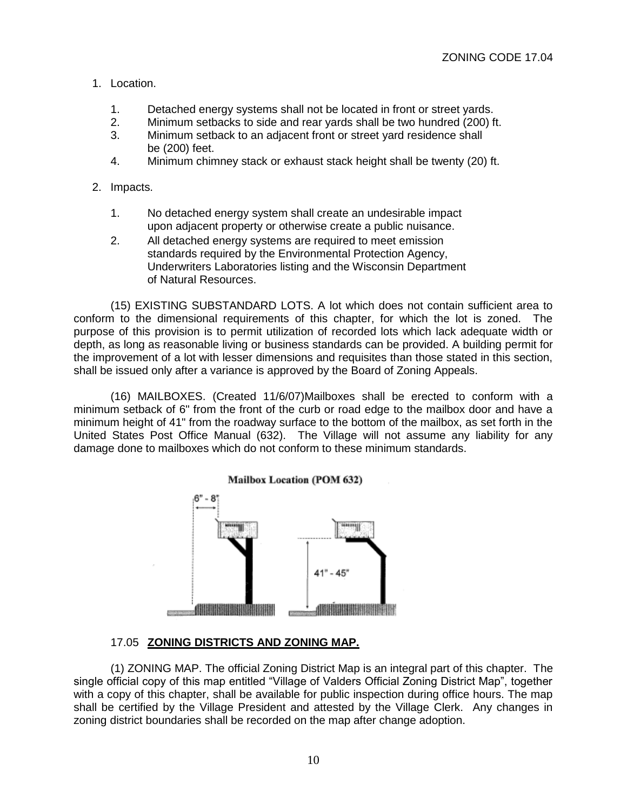## 1. Location.

- 1. Detached energy systems shall not be located in front or street yards.
- 2. Minimum setbacks to side and rear yards shall be two hundred (200) ft.<br>3. Minimum setback to an adiacent front or street vard residence shall
- Minimum setback to an adjacent front or street yard residence shall be (200) feet.
- 4. Minimum chimney stack or exhaust stack height shall be twenty (20) ft.

## 2. Impacts.

- 1. No detached energy system shall create an undesirable impact upon adjacent property or otherwise create a public nuisance.
- 2. All detached energy systems are required to meet emission standards required by the Environmental Protection Agency, Underwriters Laboratories listing and the Wisconsin Department of Natural Resources.

(15) EXISTING SUBSTANDARD LOTS. A lot which does not contain sufficient area to conform to the dimensional requirements of this chapter, for which the lot is zoned. The purpose of this provision is to permit utilization of recorded lots which lack adequate width or depth, as long as reasonable living or business standards can be provided. A building permit for the improvement of a lot with lesser dimensions and requisites than those stated in this section, shall be issued only after a variance is approved by the Board of Zoning Appeals.

(16) MAILBOXES. (Created 11/6/07)Mailboxes shall be erected to conform with a minimum setback of 6" from the front of the curb or road edge to the mailbox door and have a minimum height of 41" from the roadway surface to the bottom of the mailbox, as set forth in the United States Post Office Manual (632). The Village will not assume any liability for any damage done to mailboxes which do not conform to these minimum standards.



## 17.05 **ZONING DISTRICTS AND ZONING MAP.**

(1) ZONING MAP. The official Zoning District Map is an integral part of this chapter. The single official copy of this map entitled "Village of Valders Official Zoning District Map", together with a copy of this chapter, shall be available for public inspection during office hours. The map shall be certified by the Village President and attested by the Village Clerk. Any changes in zoning district boundaries shall be recorded on the map after change adoption.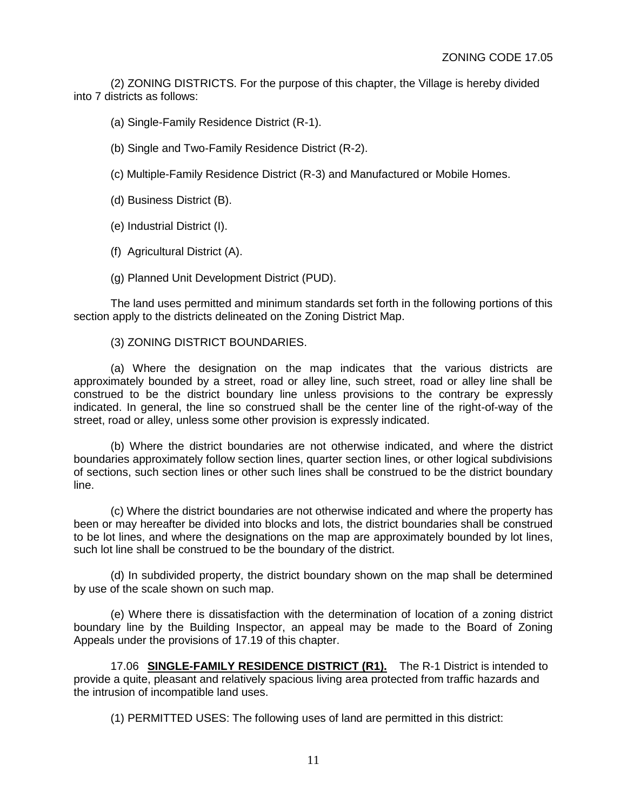(2) ZONING DISTRICTS. For the purpose of this chapter, the Village is hereby divided into 7 districts as follows:

(a) Single-Family Residence District (R-1).

(b) Single and Two-Family Residence District (R-2).

(c) Multiple-Family Residence District (R-3) and Manufactured or Mobile Homes.

(d) Business District (B).

(e) Industrial District (I).

(f) Agricultural District (A).

(g) Planned Unit Development District (PUD).

The land uses permitted and minimum standards set forth in the following portions of this section apply to the districts delineated on the Zoning District Map.

(3) ZONING DISTRICT BOUNDARIES.

(a) Where the designation on the map indicates that the various districts are approximately bounded by a street, road or alley line, such street, road or alley line shall be construed to be the district boundary line unless provisions to the contrary be expressly indicated. In general, the line so construed shall be the center line of the right-of-way of the street, road or alley, unless some other provision is expressly indicated.

(b) Where the district boundaries are not otherwise indicated, and where the district boundaries approximately follow section lines, quarter section lines, or other logical subdivisions of sections, such section lines or other such lines shall be construed to be the district boundary line.

(c) Where the district boundaries are not otherwise indicated and where the property has been or may hereafter be divided into blocks and lots, the district boundaries shall be construed to be lot lines, and where the designations on the map are approximately bounded by lot lines, such lot line shall be construed to be the boundary of the district.

(d) In subdivided property, the district boundary shown on the map shall be determined by use of the scale shown on such map.

(e) Where there is dissatisfaction with the determination of location of a zoning district boundary line by the Building Inspector, an appeal may be made to the Board of Zoning Appeals under the provisions of 17.19 of this chapter.

17.06 **SINGLE-FAMILY RESIDENCE DISTRICT (R1).** The R-1 District is intended to provide a quite, pleasant and relatively spacious living area protected from traffic hazards and the intrusion of incompatible land uses.

(1) PERMITTED USES: The following uses of land are permitted in this district: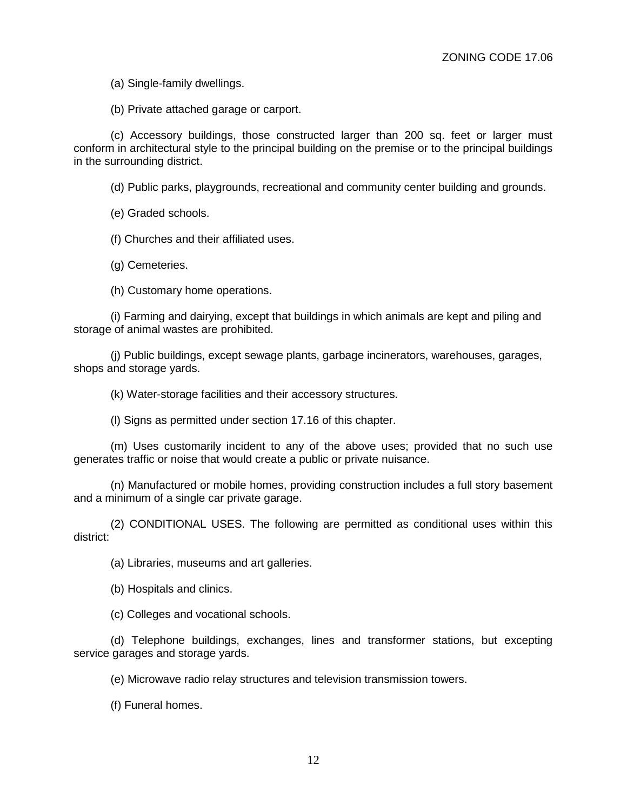(a) Single-family dwellings.

(b) Private attached garage or carport.

(c) Accessory buildings, those constructed larger than 200 sq. feet or larger must conform in architectural style to the principal building on the premise or to the principal buildings in the surrounding district.

(d) Public parks, playgrounds, recreational and community center building and grounds.

(e) Graded schools.

(f) Churches and their affiliated uses.

(g) Cemeteries.

(h) Customary home operations.

(i) Farming and dairying, except that buildings in which animals are kept and piling and storage of animal wastes are prohibited.

(j) Public buildings, except sewage plants, garbage incinerators, warehouses, garages, shops and storage yards.

(k) Water-storage facilities and their accessory structures.

(l) Signs as permitted under section 17.16 of this chapter.

(m) Uses customarily incident to any of the above uses; provided that no such use generates traffic or noise that would create a public or private nuisance.

(n) Manufactured or mobile homes, providing construction includes a full story basement and a minimum of a single car private garage.

(2) CONDITIONAL USES. The following are permitted as conditional uses within this district:

(a) Libraries, museums and art galleries.

(b) Hospitals and clinics.

(c) Colleges and vocational schools.

(d) Telephone buildings, exchanges, lines and transformer stations, but excepting service garages and storage yards.

(e) Microwave radio relay structures and television transmission towers.

(f) Funeral homes.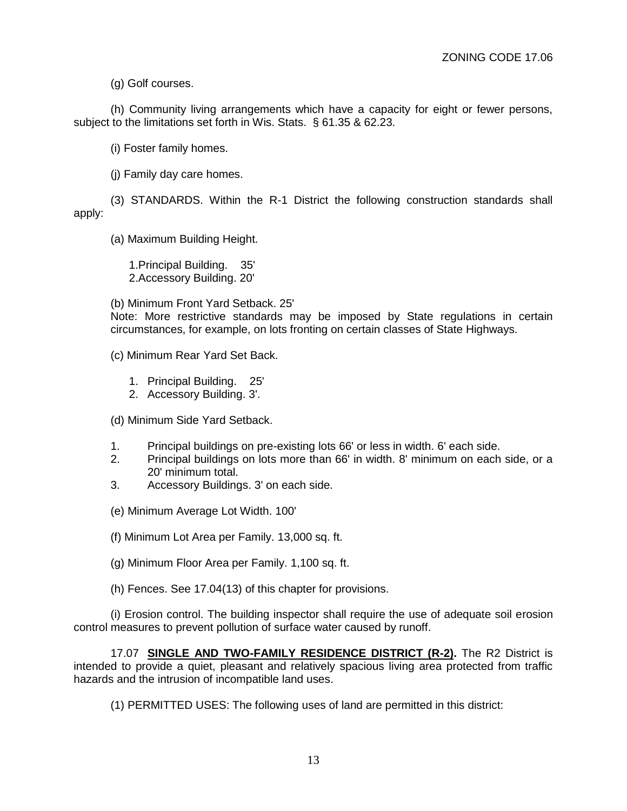(g) Golf courses.

(h) Community living arrangements which have a capacity for eight or fewer persons, subject to the limitations set forth in Wis. Stats. § 61.35 & 62.23.

(i) Foster family homes.

(j) Family day care homes.

(3) STANDARDS. Within the R-1 District the following construction standards shall apply:

(a) Maximum Building Height.

1.Principal Building. 35' 2.Accessory Building. 20'

(b) Minimum Front Yard Setback. 25'

Note: More restrictive standards may be imposed by State regulations in certain circumstances, for example, on lots fronting on certain classes of State Highways.

(c) Minimum Rear Yard Set Back.

1. Principal Building. 25'

2. Accessory Building. 3'.

(d) Minimum Side Yard Setback.

- 1. Principal buildings on pre-existing lots 66' or less in width. 6' each side.
- 2. Principal buildings on lots more than 66' in width. 8' minimum on each side, or a 20' minimum total.
- 3. Accessory Buildings. 3' on each side.

(e) Minimum Average Lot Width. 100'

(f) Minimum Lot Area per Family. 13,000 sq. ft.

(g) Minimum Floor Area per Family. 1,100 sq. ft.

(h) Fences. See 17.04(13) of this chapter for provisions.

(i) Erosion control. The building inspector shall require the use of adequate soil erosion control measures to prevent pollution of surface water caused by runoff.

17.07 **SINGLE AND TWO-FAMILY RESIDENCE DISTRICT (R-2).** The R2 District is intended to provide a quiet, pleasant and relatively spacious living area protected from traffic hazards and the intrusion of incompatible land uses.

(1) PERMITTED USES: The following uses of land are permitted in this district: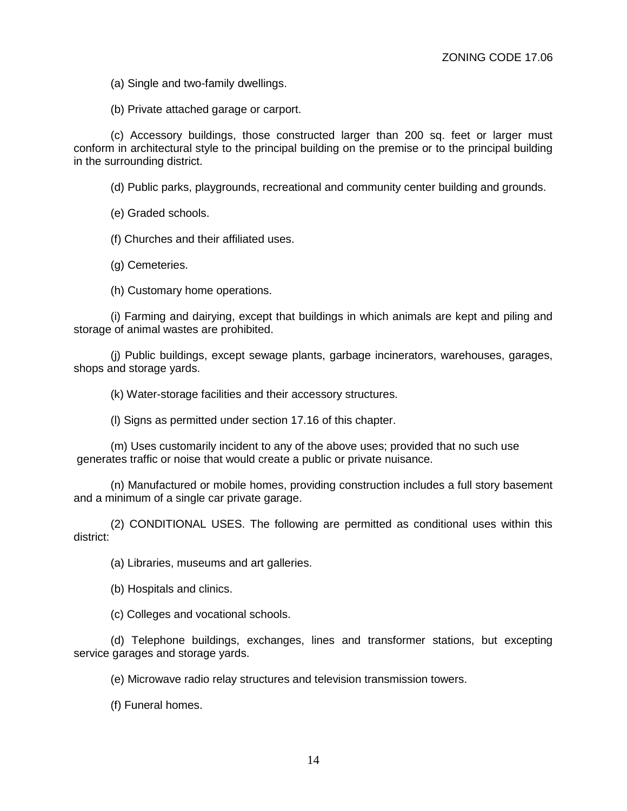(a) Single and two-family dwellings.

(b) Private attached garage or carport.

(c) Accessory buildings, those constructed larger than 200 sq. feet or larger must conform in architectural style to the principal building on the premise or to the principal building in the surrounding district.

(d) Public parks, playgrounds, recreational and community center building and grounds.

(e) Graded schools.

(f) Churches and their affiliated uses.

(g) Cemeteries.

(h) Customary home operations.

(i) Farming and dairying, except that buildings in which animals are kept and piling and storage of animal wastes are prohibited.

(j) Public buildings, except sewage plants, garbage incinerators, warehouses, garages, shops and storage yards.

(k) Water-storage facilities and their accessory structures.

(l) Signs as permitted under section 17.16 of this chapter.

(m) Uses customarily incident to any of the above uses; provided that no such use generates traffic or noise that would create a public or private nuisance.

(n) Manufactured or mobile homes, providing construction includes a full story basement and a minimum of a single car private garage.

(2) CONDITIONAL USES. The following are permitted as conditional uses within this district:

(a) Libraries, museums and art galleries.

(b) Hospitals and clinics.

(c) Colleges and vocational schools.

(d) Telephone buildings, exchanges, lines and transformer stations, but excepting service garages and storage yards.

(e) Microwave radio relay structures and television transmission towers.

(f) Funeral homes.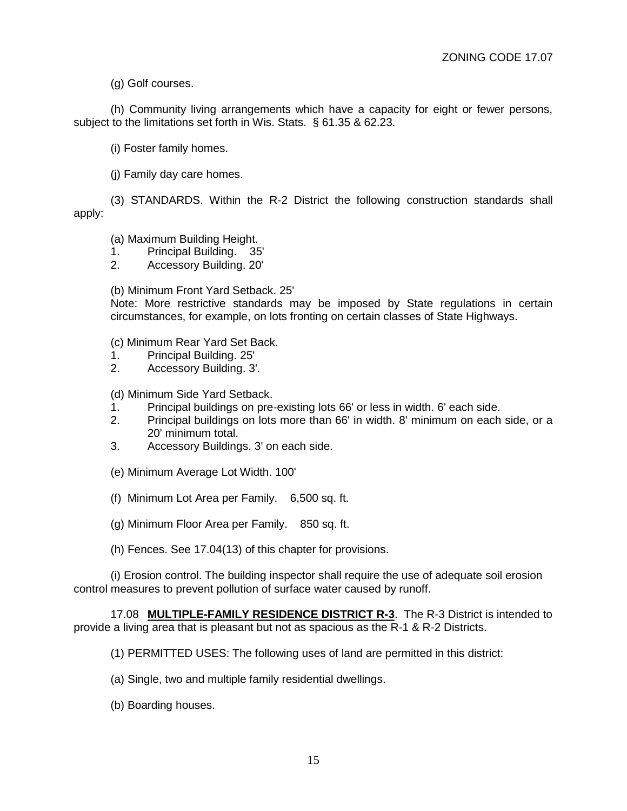(g) Golf courses.

(h) Community living arrangements which have a capacity for eight or fewer persons, subject to the limitations set forth in Wis. Stats. § 61.35 & 62.23.

(i) Foster family homes.

(j) Family day care homes.

(3) STANDARDS. Within the R-2 District the following construction standards shall apply:

(a) Maximum Building Height.

1. Principal Building. 35'

2. Accessory Building. 20'

(b) Minimum Front Yard Setback. 25'

Note: More restrictive standards may be imposed by State regulations in certain circumstances, for example, on lots fronting on certain classes of State Highways.

(c) Minimum Rear Yard Set Back.

- 1. Principal Building. 25'
- 2. Accessory Building. 3'.

(d) Minimum Side Yard Setback.

- 1. Principal buildings on pre-existing lots 66' or less in width. 6' each side.
- 2. Principal buildings on lots more than 66' in width. 8' minimum on each side, or a 20' minimum total.
- 3. Accessory Buildings. 3' on each side.
- (e) Minimum Average Lot Width. 100'
- (f) Minimum Lot Area per Family. 6,500 sq. ft.
- (g) Minimum Floor Area per Family. 850 sq. ft.
- (h) Fences. See 17.04(13) of this chapter for provisions.

(i) Erosion control. The building inspector shall require the use of adequate soil erosion control measures to prevent pollution of surface water caused by runoff.

17.08 **MULTIPLE-FAMILY RESIDENCE DISTRICT R-3**. The R-3 District is intended to provide a living area that is pleasant but not as spacious as the R-1 & R-2 Districts.

(1) PERMITTED USES: The following uses of land are permitted in this district:

- (a) Single, two and multiple family residential dwellings.
- (b) Boarding houses.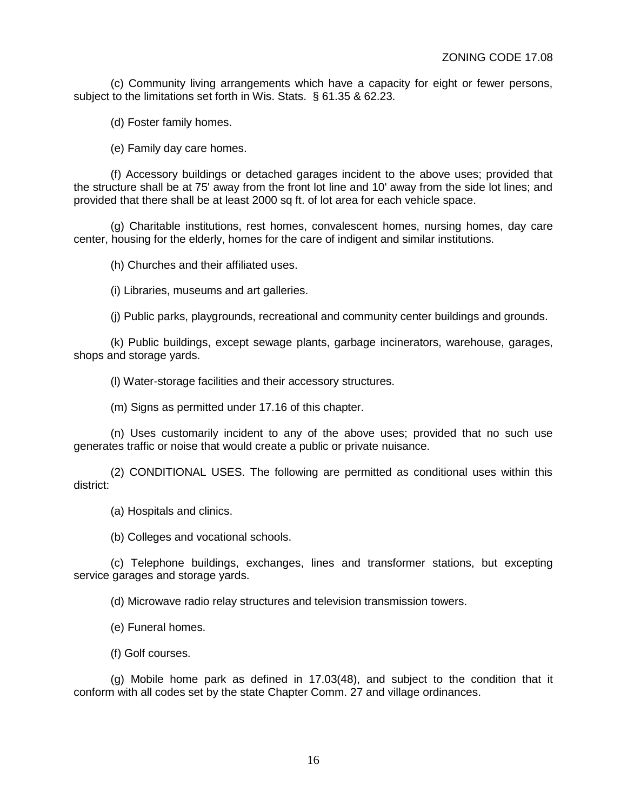(c) Community living arrangements which have a capacity for eight or fewer persons, subject to the limitations set forth in Wis. Stats. § 61.35 & 62.23.

(d) Foster family homes.

(e) Family day care homes.

(f) Accessory buildings or detached garages incident to the above uses; provided that the structure shall be at 75' away from the front lot line and 10' away from the side lot lines; and provided that there shall be at least 2000 sq ft. of lot area for each vehicle space.

(g) Charitable institutions, rest homes, convalescent homes, nursing homes, day care center, housing for the elderly, homes for the care of indigent and similar institutions.

(h) Churches and their affiliated uses.

(i) Libraries, museums and art galleries.

(j) Public parks, playgrounds, recreational and community center buildings and grounds.

(k) Public buildings, except sewage plants, garbage incinerators, warehouse, garages, shops and storage yards.

(l) Water-storage facilities and their accessory structures.

(m) Signs as permitted under 17.16 of this chapter.

(n) Uses customarily incident to any of the above uses; provided that no such use generates traffic or noise that would create a public or private nuisance.

(2) CONDITIONAL USES. The following are permitted as conditional uses within this district:

(a) Hospitals and clinics.

(b) Colleges and vocational schools.

(c) Telephone buildings, exchanges, lines and transformer stations, but excepting service garages and storage yards.

(d) Microwave radio relay structures and television transmission towers.

(e) Funeral homes.

(f) Golf courses.

(g) Mobile home park as defined in 17.03(48), and subject to the condition that it conform with all codes set by the state Chapter Comm. 27 and village ordinances.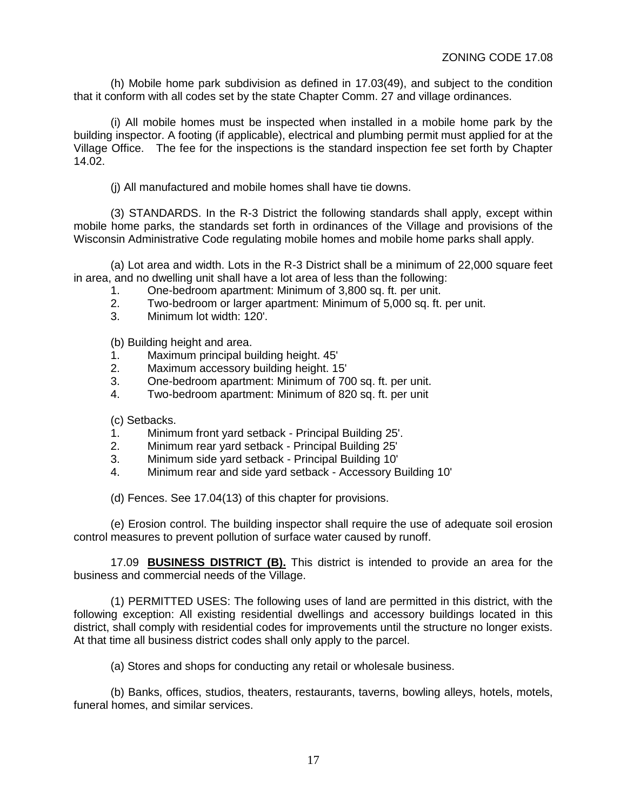(h) Mobile home park subdivision as defined in 17.03(49), and subject to the condition that it conform with all codes set by the state Chapter Comm. 27 and village ordinances.

(i) All mobile homes must be inspected when installed in a mobile home park by the building inspector. A footing (if applicable), electrical and plumbing permit must applied for at the Village Office. The fee for the inspections is the standard inspection fee set forth by Chapter 14.02.

(j) All manufactured and mobile homes shall have tie downs.

(3) STANDARDS. In the R-3 District the following standards shall apply, except within mobile home parks, the standards set forth in ordinances of the Village and provisions of the Wisconsin Administrative Code regulating mobile homes and mobile home parks shall apply.

(a) Lot area and width. Lots in the R-3 District shall be a minimum of 22,000 square feet in area, and no dwelling unit shall have a lot area of less than the following:

- 1. One-bedroom apartment: Minimum of 3,800 sq. ft. per unit.
- 2. Two-bedroom or larger apartment: Minimum of 5,000 sq. ft. per unit.
- 3. Minimum lot width: 120'.

(b) Building height and area.

- 1. Maximum principal building height. 45'
- 2. Maximum accessory building height. 15'
- 3. One-bedroom apartment: Minimum of 700 sq. ft. per unit.
- 4. Two-bedroom apartment: Minimum of 820 sq. ft. per unit

(c) Setbacks.

- 1. Minimum front yard setback Principal Building 25'.
- 2. Minimum rear yard setback Principal Building 25'
- 3. Minimum side yard setback Principal Building 10'
- 4. Minimum rear and side yard setback Accessory Building 10'

(d) Fences. See 17.04(13) of this chapter for provisions.

(e) Erosion control. The building inspector shall require the use of adequate soil erosion control measures to prevent pollution of surface water caused by runoff.

17.09 **BUSINESS DISTRICT (B).** This district is intended to provide an area for the business and commercial needs of the Village.

(1) PERMITTED USES: The following uses of land are permitted in this district, with the following exception: All existing residential dwellings and accessory buildings located in this district, shall comply with residential codes for improvements until the structure no longer exists. At that time all business district codes shall only apply to the parcel.

(a) Stores and shops for conducting any retail or wholesale business.

(b) Banks, offices, studios, theaters, restaurants, taverns, bowling alleys, hotels, motels, funeral homes, and similar services.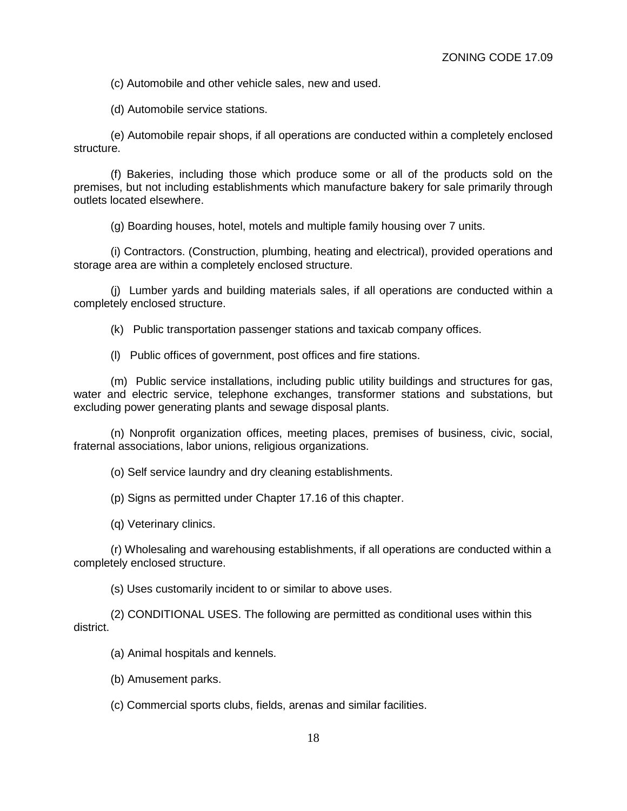(c) Automobile and other vehicle sales, new and used.

(d) Automobile service stations.

(e) Automobile repair shops, if all operations are conducted within a completely enclosed structure.

(f) Bakeries, including those which produce some or all of the products sold on the premises, but not including establishments which manufacture bakery for sale primarily through outlets located elsewhere.

(g) Boarding houses, hotel, motels and multiple family housing over 7 units.

(i) Contractors. (Construction, plumbing, heating and electrical), provided operations and storage area are within a completely enclosed structure.

(j) Lumber yards and building materials sales, if all operations are conducted within a completely enclosed structure.

(k) Public transportation passenger stations and taxicab company offices.

(l) Public offices of government, post offices and fire stations.

(m) Public service installations, including public utility buildings and structures for gas, water and electric service, telephone exchanges, transformer stations and substations, but excluding power generating plants and sewage disposal plants.

(n) Nonprofit organization offices, meeting places, premises of business, civic, social, fraternal associations, labor unions, religious organizations.

(o) Self service laundry and dry cleaning establishments.

(p) Signs as permitted under Chapter 17.16 of this chapter.

(q) Veterinary clinics.

(r) Wholesaling and warehousing establishments, if all operations are conducted within a completely enclosed structure.

(s) Uses customarily incident to or similar to above uses.

(2) CONDITIONAL USES. The following are permitted as conditional uses within this district.

(a) Animal hospitals and kennels.

(b) Amusement parks.

(c) Commercial sports clubs, fields, arenas and similar facilities.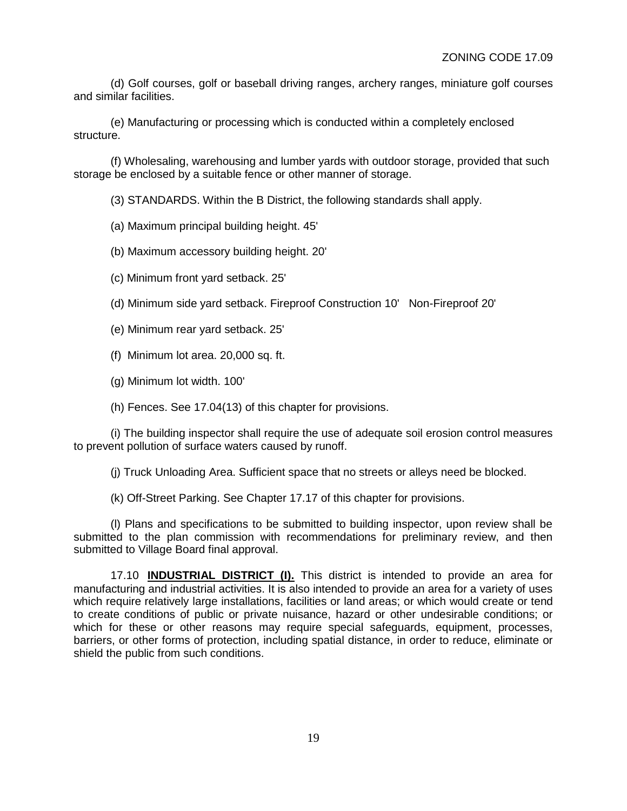(d) Golf courses, golf or baseball driving ranges, archery ranges, miniature golf courses and similar facilities.

(e) Manufacturing or processing which is conducted within a completely enclosed structure.

(f) Wholesaling, warehousing and lumber yards with outdoor storage, provided that such storage be enclosed by a suitable fence or other manner of storage.

(3) STANDARDS. Within the B District, the following standards shall apply.

(a) Maximum principal building height. 45'

(b) Maximum accessory building height. 20'

(c) Minimum front yard setback. 25'

(d) Minimum side yard setback. Fireproof Construction 10' Non-Fireproof 20'

(e) Minimum rear yard setback. 25'

(f) Minimum lot area. 20,000 sq. ft.

(g) Minimum lot width. 100'

(h) Fences. See 17.04(13) of this chapter for provisions.

(i) The building inspector shall require the use of adequate soil erosion control measures to prevent pollution of surface waters caused by runoff.

(j) Truck Unloading Area. Sufficient space that no streets or alleys need be blocked.

(k) Off-Street Parking. See Chapter 17.17 of this chapter for provisions.

(l) Plans and specifications to be submitted to building inspector, upon review shall be submitted to the plan commission with recommendations for preliminary review, and then submitted to Village Board final approval.

17.10 **INDUSTRIAL DISTRICT (I).** This district is intended to provide an area for manufacturing and industrial activities. It is also intended to provide an area for a variety of uses which require relatively large installations, facilities or land areas; or which would create or tend to create conditions of public or private nuisance, hazard or other undesirable conditions; or which for these or other reasons may require special safeguards, equipment, processes, barriers, or other forms of protection, including spatial distance, in order to reduce, eliminate or shield the public from such conditions.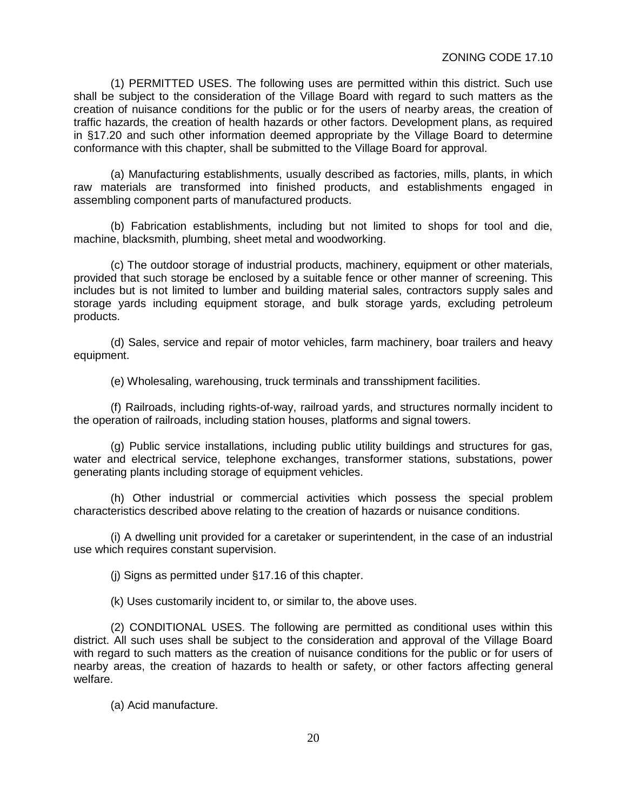(1) PERMITTED USES. The following uses are permitted within this district. Such use shall be subject to the consideration of the Village Board with regard to such matters as the creation of nuisance conditions for the public or for the users of nearby areas, the creation of traffic hazards, the creation of health hazards or other factors. Development plans, as required in §17.20 and such other information deemed appropriate by the Village Board to determine conformance with this chapter, shall be submitted to the Village Board for approval.

(a) Manufacturing establishments, usually described as factories, mills, plants, in which raw materials are transformed into finished products, and establishments engaged in assembling component parts of manufactured products.

(b) Fabrication establishments, including but not limited to shops for tool and die, machine, blacksmith, plumbing, sheet metal and woodworking.

(c) The outdoor storage of industrial products, machinery, equipment or other materials, provided that such storage be enclosed by a suitable fence or other manner of screening. This includes but is not limited to lumber and building material sales, contractors supply sales and storage yards including equipment storage, and bulk storage yards, excluding petroleum products.

(d) Sales, service and repair of motor vehicles, farm machinery, boar trailers and heavy equipment.

(e) Wholesaling, warehousing, truck terminals and transshipment facilities.

(f) Railroads, including rights-of-way, railroad yards, and structures normally incident to the operation of railroads, including station houses, platforms and signal towers.

(g) Public service installations, including public utility buildings and structures for gas, water and electrical service, telephone exchanges, transformer stations, substations, power generating plants including storage of equipment vehicles.

(h) Other industrial or commercial activities which possess the special problem characteristics described above relating to the creation of hazards or nuisance conditions.

(i) A dwelling unit provided for a caretaker or superintendent, in the case of an industrial use which requires constant supervision.

(j) Signs as permitted under §17.16 of this chapter.

(k) Uses customarily incident to, or similar to, the above uses.

(2) CONDITIONAL USES. The following are permitted as conditional uses within this district. All such uses shall be subject to the consideration and approval of the Village Board with regard to such matters as the creation of nuisance conditions for the public or for users of nearby areas, the creation of hazards to health or safety, or other factors affecting general welfare.

(a) Acid manufacture.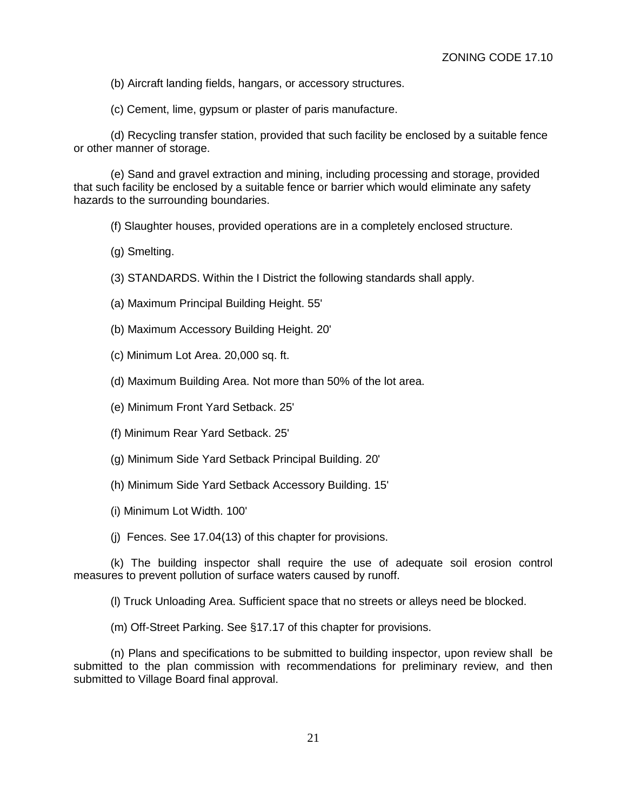(b) Aircraft landing fields, hangars, or accessory structures.

(c) Cement, lime, gypsum or plaster of paris manufacture.

(d) Recycling transfer station, provided that such facility be enclosed by a suitable fence or other manner of storage.

(e) Sand and gravel extraction and mining, including processing and storage, provided that such facility be enclosed by a suitable fence or barrier which would eliminate any safety hazards to the surrounding boundaries.

(f) Slaughter houses, provided operations are in a completely enclosed structure.

(g) Smelting.

(3) STANDARDS. Within the I District the following standards shall apply.

- (a) Maximum Principal Building Height. 55'
- (b) Maximum Accessory Building Height. 20'
- (c) Minimum Lot Area. 20,000 sq. ft.
- (d) Maximum Building Area. Not more than 50% of the lot area.
- (e) Minimum Front Yard Setback. 25'
- (f) Minimum Rear Yard Setback. 25'
- (g) Minimum Side Yard Setback Principal Building. 20'
- (h) Minimum Side Yard Setback Accessory Building. 15'
- (i) Minimum Lot Width. 100'

(j) Fences. See 17.04(13) of this chapter for provisions.

(k) The building inspector shall require the use of adequate soil erosion control measures to prevent pollution of surface waters caused by runoff.

(l) Truck Unloading Area. Sufficient space that no streets or alleys need be blocked.

(m) Off-Street Parking. See §17.17 of this chapter for provisions.

(n) Plans and specifications to be submitted to building inspector, upon review shall be submitted to the plan commission with recommendations for preliminary review, and then submitted to Village Board final approval.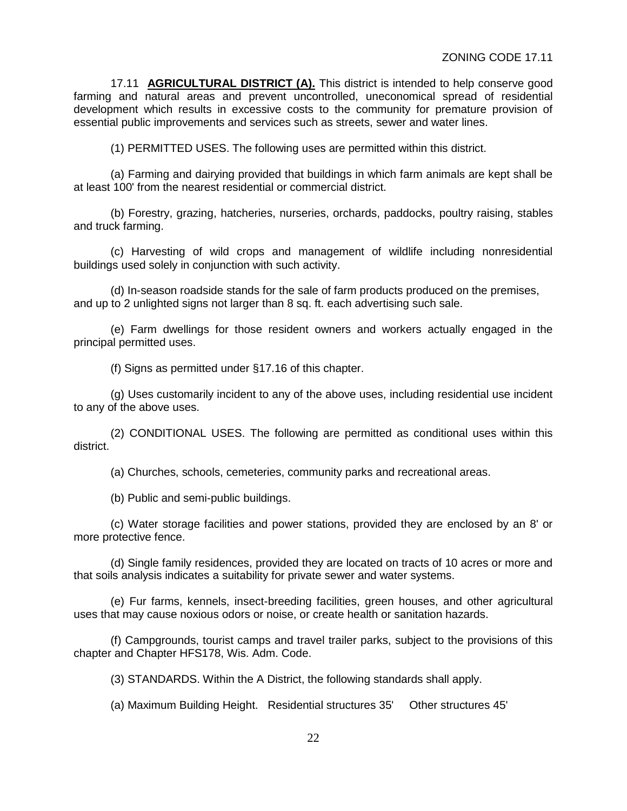17.11 **AGRICULTURAL DISTRICT (A).** This district is intended to help conserve good farming and natural areas and prevent uncontrolled, uneconomical spread of residential development which results in excessive costs to the community for premature provision of essential public improvements and services such as streets, sewer and water lines.

(1) PERMITTED USES. The following uses are permitted within this district.

(a) Farming and dairying provided that buildings in which farm animals are kept shall be at least 100' from the nearest residential or commercial district.

(b) Forestry, grazing, hatcheries, nurseries, orchards, paddocks, poultry raising, stables and truck farming.

(c) Harvesting of wild crops and management of wildlife including nonresidential buildings used solely in conjunction with such activity.

(d) In-season roadside stands for the sale of farm products produced on the premises, and up to 2 unlighted signs not larger than 8 sq. ft. each advertising such sale.

(e) Farm dwellings for those resident owners and workers actually engaged in the principal permitted uses.

(f) Signs as permitted under §17.16 of this chapter.

(g) Uses customarily incident to any of the above uses, including residential use incident to any of the above uses.

(2) CONDITIONAL USES. The following are permitted as conditional uses within this district.

(a) Churches, schools, cemeteries, community parks and recreational areas.

(b) Public and semi-public buildings.

(c) Water storage facilities and power stations, provided they are enclosed by an 8' or more protective fence.

(d) Single family residences, provided they are located on tracts of 10 acres or more and that soils analysis indicates a suitability for private sewer and water systems.

(e) Fur farms, kennels, insect-breeding facilities, green houses, and other agricultural uses that may cause noxious odors or noise, or create health or sanitation hazards.

(f) Campgrounds, tourist camps and travel trailer parks, subject to the provisions of this chapter and Chapter HFS178, Wis. Adm. Code.

(3) STANDARDS. Within the A District, the following standards shall apply.

(a) Maximum Building Height. Residential structures 35' Other structures 45'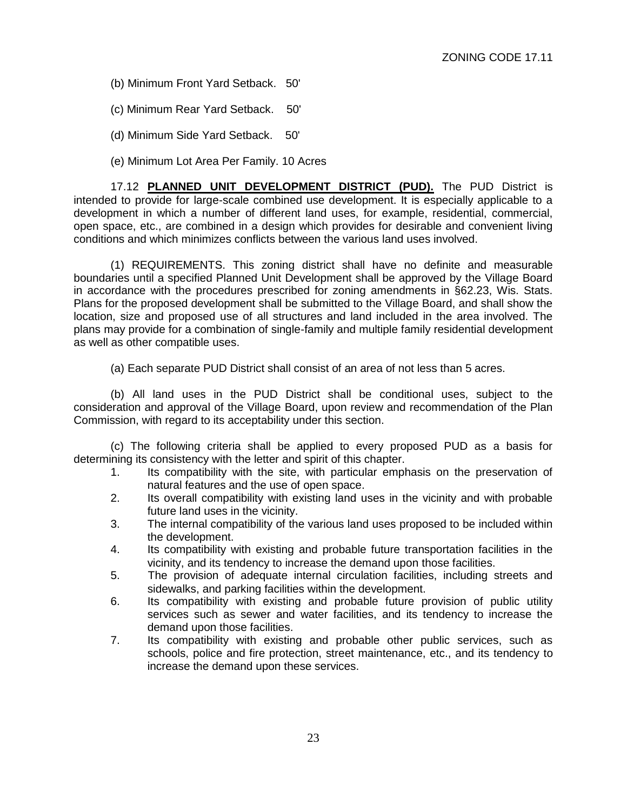- (b) Minimum Front Yard Setback. 50'
- (c) Minimum Rear Yard Setback. 50'
- (d) Minimum Side Yard Setback. 50'
- (e) Minimum Lot Area Per Family. 10 Acres

17.12 **PLANNED UNIT DEVELOPMENT DISTRICT (PUD).** The PUD District is intended to provide for large-scale combined use development. It is especially applicable to a development in which a number of different land uses, for example, residential, commercial, open space, etc., are combined in a design which provides for desirable and convenient living conditions and which minimizes conflicts between the various land uses involved.

(1) REQUIREMENTS. This zoning district shall have no definite and measurable boundaries until a specified Planned Unit Development shall be approved by the Village Board in accordance with the procedures prescribed for zoning amendments in §62.23, Wis. Stats. Plans for the proposed development shall be submitted to the Village Board, and shall show the location, size and proposed use of all structures and land included in the area involved. The plans may provide for a combination of single-family and multiple family residential development as well as other compatible uses.

(a) Each separate PUD District shall consist of an area of not less than 5 acres.

(b) All land uses in the PUD District shall be conditional uses, subject to the consideration and approval of the Village Board, upon review and recommendation of the Plan Commission, with regard to its acceptability under this section.

(c) The following criteria shall be applied to every proposed PUD as a basis for determining its consistency with the letter and spirit of this chapter.

- 1. Its compatibility with the site, with particular emphasis on the preservation of natural features and the use of open space.
- 2. Its overall compatibility with existing land uses in the vicinity and with probable future land uses in the vicinity.
- 3. The internal compatibility of the various land uses proposed to be included within the development.
- 4. Its compatibility with existing and probable future transportation facilities in the vicinity, and its tendency to increase the demand upon those facilities.
- 5. The provision of adequate internal circulation facilities, including streets and sidewalks, and parking facilities within the development.
- 6. Its compatibility with existing and probable future provision of public utility services such as sewer and water facilities, and its tendency to increase the demand upon those facilities.
- 7. Its compatibility with existing and probable other public services, such as schools, police and fire protection, street maintenance, etc., and its tendency to increase the demand upon these services.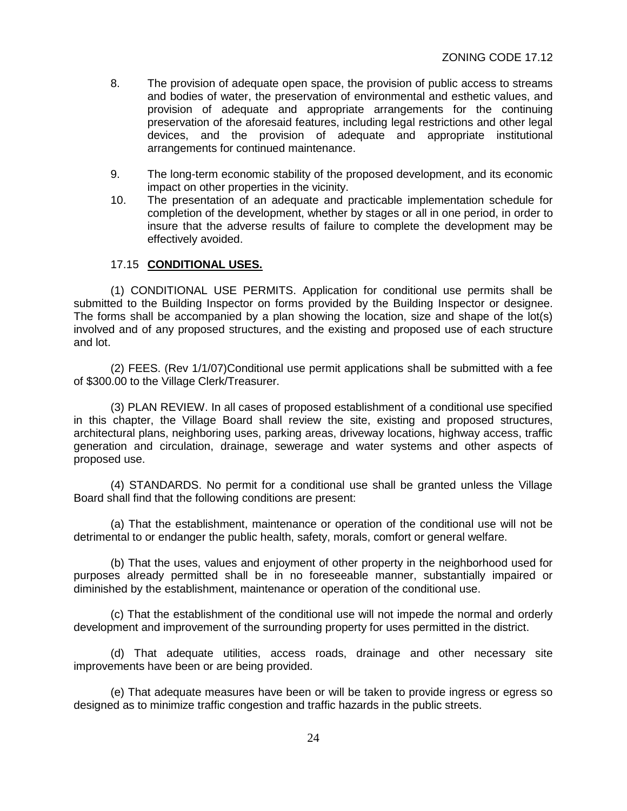- 8. The provision of adequate open space, the provision of public access to streams and bodies of water, the preservation of environmental and esthetic values, and provision of adequate and appropriate arrangements for the continuing preservation of the aforesaid features, including legal restrictions and other legal devices, and the provision of adequate and appropriate institutional arrangements for continued maintenance.
- 9. The long-term economic stability of the proposed development, and its economic impact on other properties in the vicinity.
- 10. The presentation of an adequate and practicable implementation schedule for completion of the development, whether by stages or all in one period, in order to insure that the adverse results of failure to complete the development may be effectively avoided.

## 17.15 **CONDITIONAL USES.**

(1) CONDITIONAL USE PERMITS. Application for conditional use permits shall be submitted to the Building Inspector on forms provided by the Building Inspector or designee. The forms shall be accompanied by a plan showing the location, size and shape of the lot(s) involved and of any proposed structures, and the existing and proposed use of each structure and lot.

(2) FEES. (Rev 1/1/07)Conditional use permit applications shall be submitted with a fee of \$300.00 to the Village Clerk/Treasurer.

(3) PLAN REVIEW. In all cases of proposed establishment of a conditional use specified in this chapter, the Village Board shall review the site, existing and proposed structures, architectural plans, neighboring uses, parking areas, driveway locations, highway access, traffic generation and circulation, drainage, sewerage and water systems and other aspects of proposed use.

(4) STANDARDS. No permit for a conditional use shall be granted unless the Village Board shall find that the following conditions are present:

(a) That the establishment, maintenance or operation of the conditional use will not be detrimental to or endanger the public health, safety, morals, comfort or general welfare.

(b) That the uses, values and enjoyment of other property in the neighborhood used for purposes already permitted shall be in no foreseeable manner, substantially impaired or diminished by the establishment, maintenance or operation of the conditional use.

(c) That the establishment of the conditional use will not impede the normal and orderly development and improvement of the surrounding property for uses permitted in the district.

(d) That adequate utilities, access roads, drainage and other necessary site improvements have been or are being provided.

(e) That adequate measures have been or will be taken to provide ingress or egress so designed as to minimize traffic congestion and traffic hazards in the public streets.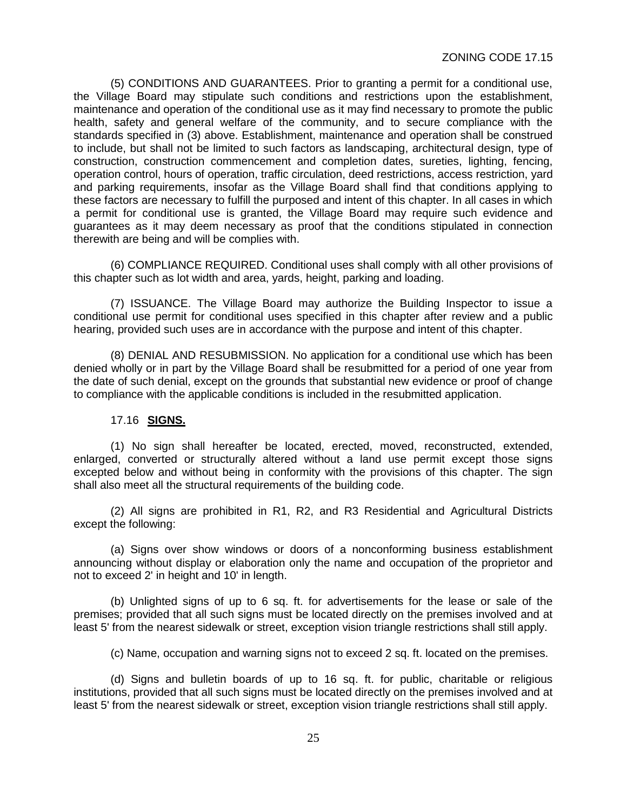(5) CONDITIONS AND GUARANTEES. Prior to granting a permit for a conditional use, the Village Board may stipulate such conditions and restrictions upon the establishment, maintenance and operation of the conditional use as it may find necessary to promote the public health, safety and general welfare of the community, and to secure compliance with the standards specified in (3) above. Establishment, maintenance and operation shall be construed to include, but shall not be limited to such factors as landscaping, architectural design, type of construction, construction commencement and completion dates, sureties, lighting, fencing, operation control, hours of operation, traffic circulation, deed restrictions, access restriction, yard and parking requirements, insofar as the Village Board shall find that conditions applying to these factors are necessary to fulfill the purposed and intent of this chapter. In all cases in which a permit for conditional use is granted, the Village Board may require such evidence and guarantees as it may deem necessary as proof that the conditions stipulated in connection therewith are being and will be complies with.

(6) COMPLIANCE REQUIRED. Conditional uses shall comply with all other provisions of this chapter such as lot width and area, yards, height, parking and loading.

(7) ISSUANCE. The Village Board may authorize the Building Inspector to issue a conditional use permit for conditional uses specified in this chapter after review and a public hearing, provided such uses are in accordance with the purpose and intent of this chapter.

(8) DENIAL AND RESUBMISSION. No application for a conditional use which has been denied wholly or in part by the Village Board shall be resubmitted for a period of one year from the date of such denial, except on the grounds that substantial new evidence or proof of change to compliance with the applicable conditions is included in the resubmitted application.

## 17.16 **SIGNS.**

(1) No sign shall hereafter be located, erected, moved, reconstructed, extended, enlarged, converted or structurally altered without a land use permit except those signs excepted below and without being in conformity with the provisions of this chapter. The sign shall also meet all the structural requirements of the building code.

(2) All signs are prohibited in R1, R2, and R3 Residential and Agricultural Districts except the following:

(a) Signs over show windows or doors of a nonconforming business establishment announcing without display or elaboration only the name and occupation of the proprietor and not to exceed 2' in height and 10' in length.

(b) Unlighted signs of up to 6 sq. ft. for advertisements for the lease or sale of the premises; provided that all such signs must be located directly on the premises involved and at least 5' from the nearest sidewalk or street, exception vision triangle restrictions shall still apply.

(c) Name, occupation and warning signs not to exceed 2 sq. ft. located on the premises.

(d) Signs and bulletin boards of up to 16 sq. ft. for public, charitable or religious institutions, provided that all such signs must be located directly on the premises involved and at least 5' from the nearest sidewalk or street, exception vision triangle restrictions shall still apply.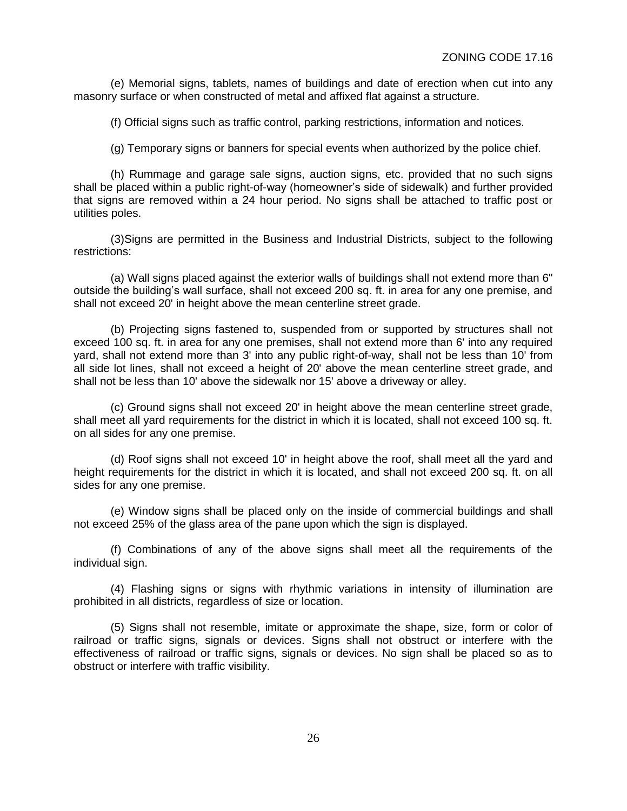(e) Memorial signs, tablets, names of buildings and date of erection when cut into any masonry surface or when constructed of metal and affixed flat against a structure.

(f) Official signs such as traffic control, parking restrictions, information and notices.

(g) Temporary signs or banners for special events when authorized by the police chief.

(h) Rummage and garage sale signs, auction signs, etc. provided that no such signs shall be placed within a public right-of-way (homeowner's side of sidewalk) and further provided that signs are removed within a 24 hour period. No signs shall be attached to traffic post or utilities poles.

(3)Signs are permitted in the Business and Industrial Districts, subject to the following restrictions:

(a) Wall signs placed against the exterior walls of buildings shall not extend more than 6" outside the building's wall surface, shall not exceed 200 sq. ft. in area for any one premise, and shall not exceed 20' in height above the mean centerline street grade.

(b) Projecting signs fastened to, suspended from or supported by structures shall not exceed 100 sq. ft. in area for any one premises, shall not extend more than 6' into any required yard, shall not extend more than 3' into any public right-of-way, shall not be less than 10' from all side lot lines, shall not exceed a height of 20' above the mean centerline street grade, and shall not be less than 10' above the sidewalk nor 15' above a driveway or alley.

(c) Ground signs shall not exceed 20' in height above the mean centerline street grade, shall meet all yard requirements for the district in which it is located, shall not exceed 100 sq. ft. on all sides for any one premise.

(d) Roof signs shall not exceed 10' in height above the roof, shall meet all the yard and height requirements for the district in which it is located, and shall not exceed 200 sq. ft. on all sides for any one premise.

(e) Window signs shall be placed only on the inside of commercial buildings and shall not exceed 25% of the glass area of the pane upon which the sign is displayed.

(f) Combinations of any of the above signs shall meet all the requirements of the individual sign.

(4) Flashing signs or signs with rhythmic variations in intensity of illumination are prohibited in all districts, regardless of size or location.

(5) Signs shall not resemble, imitate or approximate the shape, size, form or color of railroad or traffic signs, signals or devices. Signs shall not obstruct or interfere with the effectiveness of railroad or traffic signs, signals or devices. No sign shall be placed so as to obstruct or interfere with traffic visibility.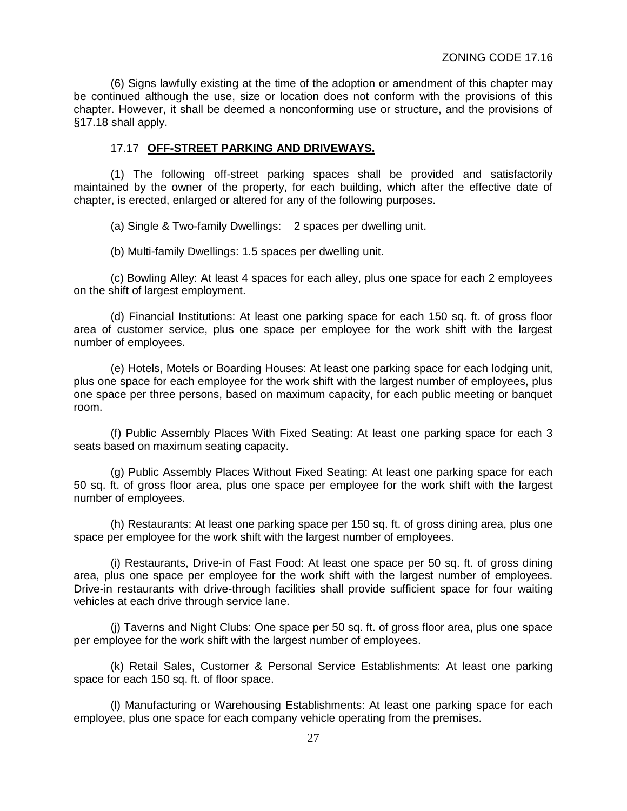(6) Signs lawfully existing at the time of the adoption or amendment of this chapter may be continued although the use, size or location does not conform with the provisions of this chapter. However, it shall be deemed a nonconforming use or structure, and the provisions of §17.18 shall apply.

#### 17.17 **OFF-STREET PARKING AND DRIVEWAYS.**

(1) The following off-street parking spaces shall be provided and satisfactorily maintained by the owner of the property, for each building, which after the effective date of chapter, is erected, enlarged or altered for any of the following purposes.

(a) Single & Two-family Dwellings: 2 spaces per dwelling unit.

(b) Multi-family Dwellings: 1.5 spaces per dwelling unit.

(c) Bowling Alley: At least 4 spaces for each alley, plus one space for each 2 employees on the shift of largest employment.

(d) Financial Institutions: At least one parking space for each 150 sq. ft. of gross floor area of customer service, plus one space per employee for the work shift with the largest number of employees.

(e) Hotels, Motels or Boarding Houses: At least one parking space for each lodging unit, plus one space for each employee for the work shift with the largest number of employees, plus one space per three persons, based on maximum capacity, for each public meeting or banquet room.

(f) Public Assembly Places With Fixed Seating: At least one parking space for each 3 seats based on maximum seating capacity.

(g) Public Assembly Places Without Fixed Seating: At least one parking space for each 50 sq. ft. of gross floor area, plus one space per employee for the work shift with the largest number of employees.

(h) Restaurants: At least one parking space per 150 sq. ft. of gross dining area, plus one space per employee for the work shift with the largest number of employees.

(i) Restaurants, Drive-in of Fast Food: At least one space per 50 sq. ft. of gross dining area, plus one space per employee for the work shift with the largest number of employees. Drive-in restaurants with drive-through facilities shall provide sufficient space for four waiting vehicles at each drive through service lane.

(j) Taverns and Night Clubs: One space per 50 sq. ft. of gross floor area, plus one space per employee for the work shift with the largest number of employees.

(k) Retail Sales, Customer & Personal Service Establishments: At least one parking space for each 150 sq. ft. of floor space.

(l) Manufacturing or Warehousing Establishments: At least one parking space for each employee, plus one space for each company vehicle operating from the premises.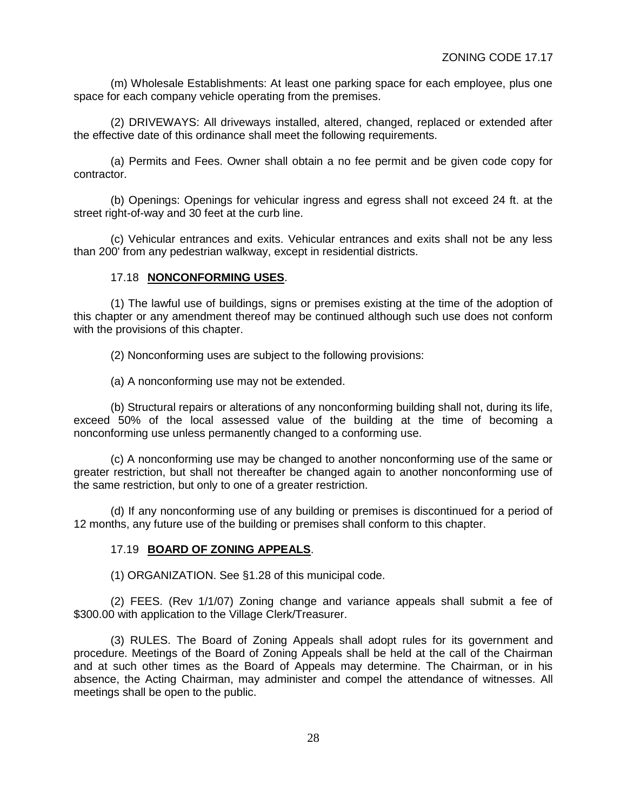(m) Wholesale Establishments: At least one parking space for each employee, plus one space for each company vehicle operating from the premises.

(2) DRIVEWAYS: All driveways installed, altered, changed, replaced or extended after the effective date of this ordinance shall meet the following requirements.

(a) Permits and Fees. Owner shall obtain a no fee permit and be given code copy for contractor.

(b) Openings: Openings for vehicular ingress and egress shall not exceed 24 ft. at the street right-of-way and 30 feet at the curb line.

(c) Vehicular entrances and exits. Vehicular entrances and exits shall not be any less than 200' from any pedestrian walkway, except in residential districts.

## 17.18 **NONCONFORMING USES**.

(1) The lawful use of buildings, signs or premises existing at the time of the adoption of this chapter or any amendment thereof may be continued although such use does not conform with the provisions of this chapter.

(2) Nonconforming uses are subject to the following provisions:

(a) A nonconforming use may not be extended.

(b) Structural repairs or alterations of any nonconforming building shall not, during its life, exceed 50% of the local assessed value of the building at the time of becoming a nonconforming use unless permanently changed to a conforming use.

(c) A nonconforming use may be changed to another nonconforming use of the same or greater restriction, but shall not thereafter be changed again to another nonconforming use of the same restriction, but only to one of a greater restriction.

(d) If any nonconforming use of any building or premises is discontinued for a period of 12 months, any future use of the building or premises shall conform to this chapter.

#### 17.19 **BOARD OF ZONING APPEALS**.

(1) ORGANIZATION. See §1.28 of this municipal code.

(2) FEES. (Rev 1/1/07) Zoning change and variance appeals shall submit a fee of \$300.00 with application to the Village Clerk/Treasurer.

(3) RULES. The Board of Zoning Appeals shall adopt rules for its government and procedure. Meetings of the Board of Zoning Appeals shall be held at the call of the Chairman and at such other times as the Board of Appeals may determine. The Chairman, or in his absence, the Acting Chairman, may administer and compel the attendance of witnesses. All meetings shall be open to the public.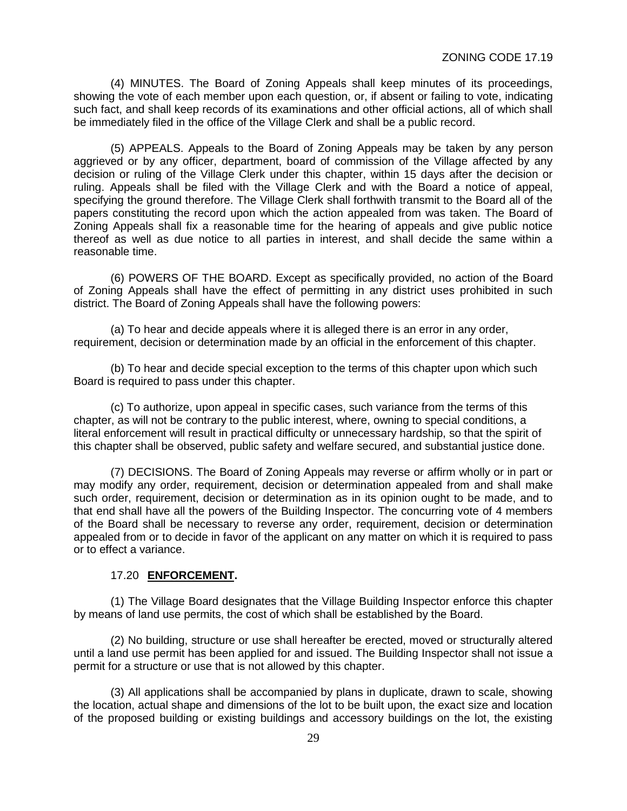(4) MINUTES. The Board of Zoning Appeals shall keep minutes of its proceedings, showing the vote of each member upon each question, or, if absent or failing to vote, indicating such fact, and shall keep records of its examinations and other official actions, all of which shall be immediately filed in the office of the Village Clerk and shall be a public record.

(5) APPEALS. Appeals to the Board of Zoning Appeals may be taken by any person aggrieved or by any officer, department, board of commission of the Village affected by any decision or ruling of the Village Clerk under this chapter, within 15 days after the decision or ruling. Appeals shall be filed with the Village Clerk and with the Board a notice of appeal, specifying the ground therefore. The Village Clerk shall forthwith transmit to the Board all of the papers constituting the record upon which the action appealed from was taken. The Board of Zoning Appeals shall fix a reasonable time for the hearing of appeals and give public notice thereof as well as due notice to all parties in interest, and shall decide the same within a reasonable time.

(6) POWERS OF THE BOARD. Except as specifically provided, no action of the Board of Zoning Appeals shall have the effect of permitting in any district uses prohibited in such district. The Board of Zoning Appeals shall have the following powers:

(a) To hear and decide appeals where it is alleged there is an error in any order, requirement, decision or determination made by an official in the enforcement of this chapter.

(b) To hear and decide special exception to the terms of this chapter upon which such Board is required to pass under this chapter.

(c) To authorize, upon appeal in specific cases, such variance from the terms of this chapter, as will not be contrary to the public interest, where, owning to special conditions, a literal enforcement will result in practical difficulty or unnecessary hardship, so that the spirit of this chapter shall be observed, public safety and welfare secured, and substantial justice done.

(7) DECISIONS. The Board of Zoning Appeals may reverse or affirm wholly or in part or may modify any order, requirement, decision or determination appealed from and shall make such order, requirement, decision or determination as in its opinion ought to be made, and to that end shall have all the powers of the Building Inspector. The concurring vote of 4 members of the Board shall be necessary to reverse any order, requirement, decision or determination appealed from or to decide in favor of the applicant on any matter on which it is required to pass or to effect a variance.

#### 17.20 **ENFORCEMENT.**

(1) The Village Board designates that the Village Building Inspector enforce this chapter by means of land use permits, the cost of which shall be established by the Board.

(2) No building, structure or use shall hereafter be erected, moved or structurally altered until a land use permit has been applied for and issued. The Building Inspector shall not issue a permit for a structure or use that is not allowed by this chapter.

(3) All applications shall be accompanied by plans in duplicate, drawn to scale, showing the location, actual shape and dimensions of the lot to be built upon, the exact size and location of the proposed building or existing buildings and accessory buildings on the lot, the existing